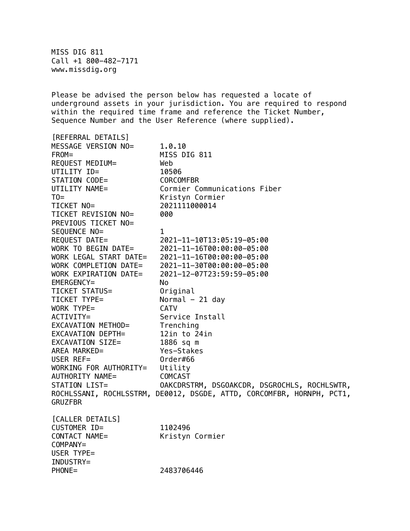MISS DIG 811 Call +1 800-482-7171 www.missdig.org

Please be advised the person below has requested a locate of underground assets in your jurisdiction. You are required to respond within the required time frame and reference the Ticket Number, Sequence Number and the User Reference (where supplied).

[REFERRAL DETAILS] MESSAGE VERSION NO= 1.0.10 FROM= MISS DIG 811 REQUEST MEDIUM= Web UTILITY ID= 10506 STATION CODE= CORCOMFBR UTILITY NAME= Cormier Communications Fiber TO= Kristyn Cormier TICKET NO= 2021111000014 TICKET REVISION NO= 000 PREVIOUS TICKET NO= SEQUENCE NO= 1 REQUEST DATE= 2021-11-10T13:05:19-05:00 WORK TO BEGIN DATE= 2021-11-16T00:00:00-05:00 WORK LEGAL START DATE= 2021-11-16T00:00:00-05:00 WORK COMPLETION DATE= 2021-11-30T00:00:00-05:00 WORK EXPIRATION DATE= 2021-12-07T23:59:59-05:00 EMERGENCY= No TICKET STATUS= Original TICKET TYPE= Normal - 21 day WORK TYPE= CATV ACTIVITY= Service Install EXCAVATION METHOD= Trenching EXCAVATION DEPTH= 12in to 24in EXCAVATION SIZE= 1886 sq m AREA MARKED= Yes-Stakes USER REF= Order#66 WORKING FOR AUTHORITY= Utility AUTHORITY NAME= COMCAST STATION LIST= OAKCDRSTRM, DSGOAKCDR, DSGROCHLS, ROCHLSWTR, ROCHLSSANI, ROCHLSSTRM, DE0012, DSGDE, ATTD, CORCOMFBR, HORNPH, PCT1, **GRUZFBR** [CALLER DETAILS] CUSTOMER ID= 1102496 CONTACT NAME= Kristyn Cormier COMPANY= USER TYPE= INDUSTRY=

PHONE= 2483706446